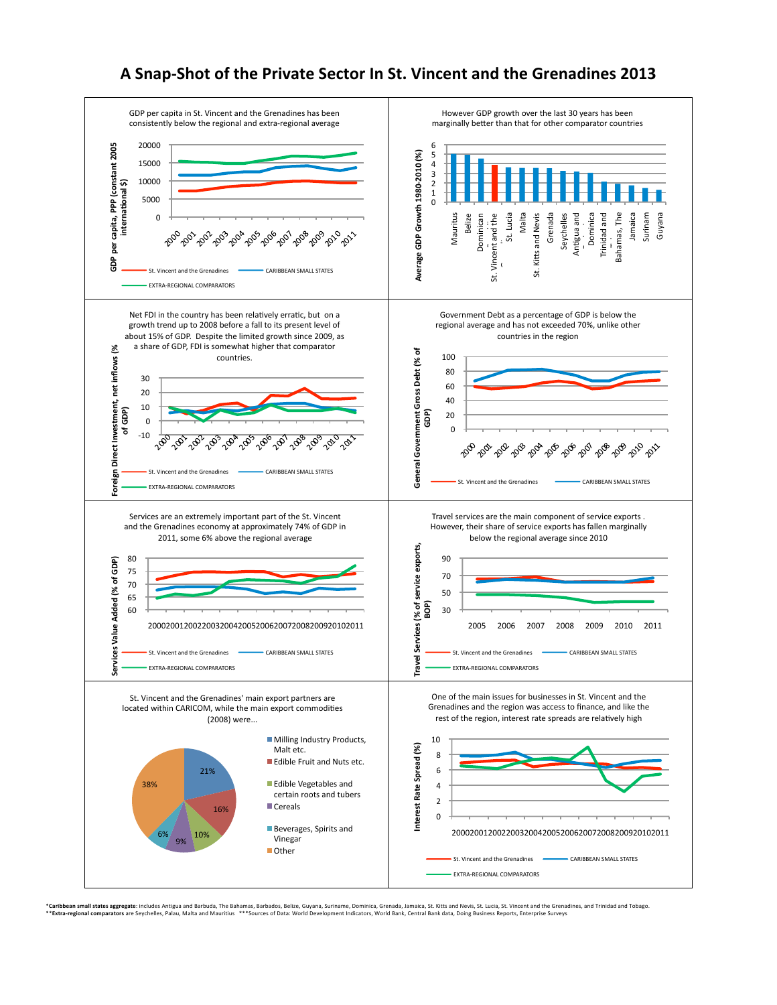## A Snap-Shot of the Private Sector In St. Vincent and the Grenadines 2013



\***Caribben small states aggregate** includes Antigua and Barbuda, The Bahamas, Barbados, Beliee, Guyana, Suriname, Dominica, Grenada, Jamaica, St. Kitts and Nevis, St. Lucia, St. Vincent and theirs of prematines, and Trinid